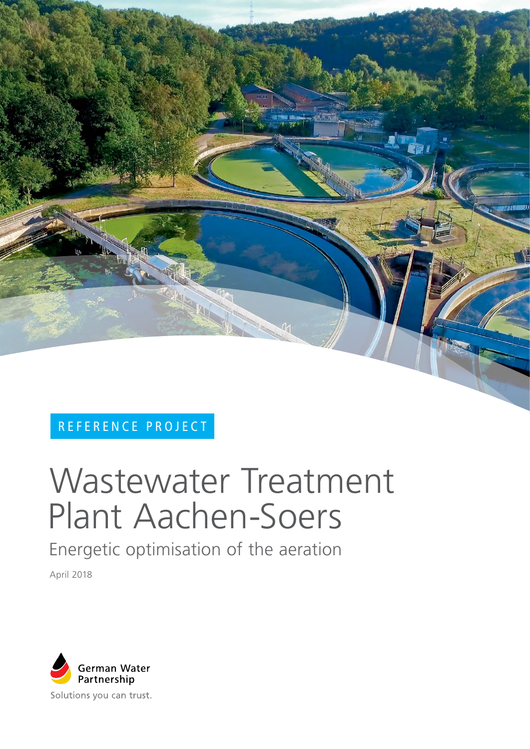

# REFERENCE PROJECT

# Wastewater Treatment Plant Aachen-Soers

Energetic optimisation of the aeration

April 2018

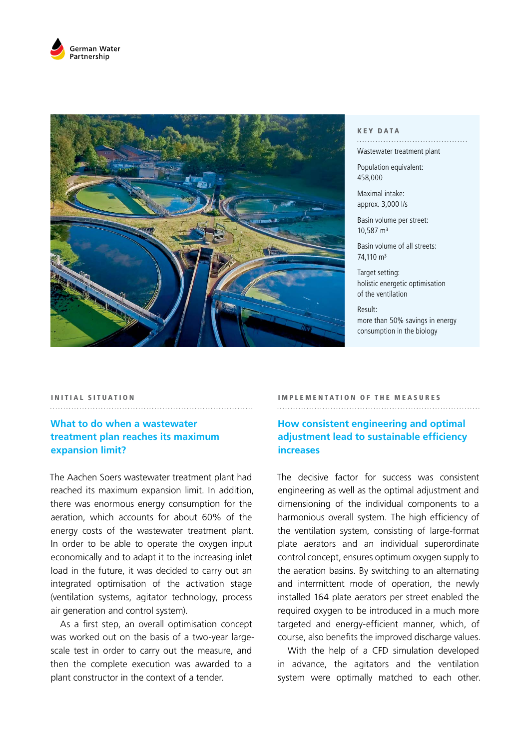



#### KEY DATA

# Wastewater treatment plant

Population equivalent: 458,000

Maximal intake: approx. 3,000 l/s

Basin volume per street: 10,587 m³

Basin volume of all streets: 74,110 m<sup>3</sup>

Target setting: holistic energetic optimisation of the ventilation

Result: more than 50% savings in energy consumption in the biology

#### INITIAL SITUATION

# **What to do when a wastewater treatment plan reaches its maximum expansion limit?**

The Aachen Soers wastewater treatment plant had reached its maximum expansion limit. In addition, there was enormous energy consumption for the aeration, which accounts for about 60% of the energy costs of the wastewater treatment plant. In order to be able to operate the oxygen input economically and to adapt it to the increasing inlet load in the future, it was decided to carry out an integrated optimisation of the activation stage (ventilation systems, agitator technology, process air generation and control system).

As a first step, an overall optimisation concept was worked out on the basis of a two-year largescale test in order to carry out the measure, and then the complete execution was awarded to a plant constructor in the context of a tender.

#### IMPLEMENTATION OF THE MEASURES

**How consistent engineering and optimal adjustment lead to sustainable efficiency increases**

The decisive factor for success was consistent engineering as well as the optimal adjustment and dimensioning of the individual components to a harmonious overall system. The high efficiency of the ventilation system, consisting of large-format plate aerators and an individual superordinate control concept, ensures optimum oxygen supply to the aeration basins. By switching to an alternating and intermittent mode of operation, the newly installed 164 plate aerators per street enabled the required oxygen to be introduced in a much more targeted and energy-efficient manner, which, of course, also benefits the improved discharge values.

With the help of a CFD simulation developed in advance, the agitators and the ventilation system were optimally matched to each other.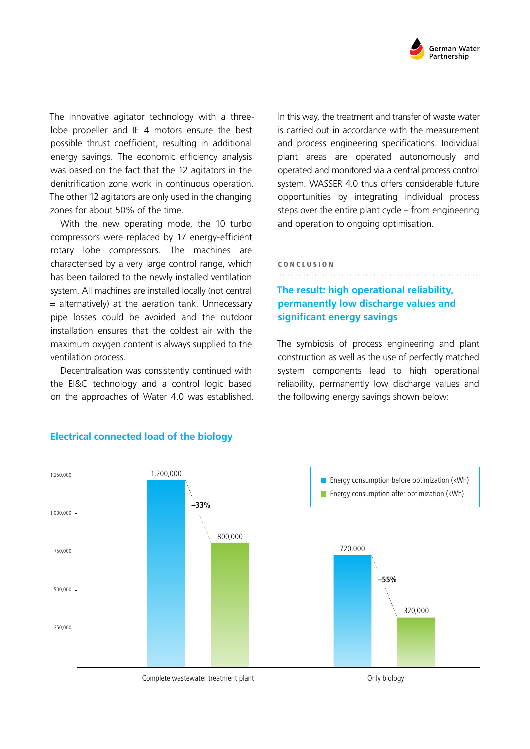

The innovative agitator technology with a threelobe propeller and IE 4 motors ensure the best possible thrust coefficient, resulting in additional energy savings. The economic efficiency analysis was based on the fact that the 12 agitators in the denitrification zone work in continuous operation. The other 12 agitators are only used in the changing zones for about 50% of the time.

With the new operating mode, the 10 turbo compressors were replaced by 17 energy-efficient rotary lobe compressors. The machines are characterised by a very large control range, which has been tailored to the newly installed ventilation system. All machines are installed locally (not central  $=$  alternatively) at the aeration tank. Unnecessary pipe losses could be avoided and the outdoor installation ensures that the coldest air with the maximum oxygen content is always supplied to the ventilation process.

Decentralisation was consistently continued with the EI&C technology and a control logic based on the approaches of Water 4.0 was established. In this way, the treatment and transfer of waste water is carried out in accordance with the measurement and process engineering specifications. Individual plant areas are operated autonomously and operated and monitored via a central process control system. WASSER 4.0 thus offers considerable future opportunities by integrating individual process steps over the entire plant cycle – from engineering and operation to ongoing optimisation.

#### CONCLUSION

# **The result: high operational reliability, permanently low discharge values and significant energy savings**

The symbiosis of process engineering and plant construction as well as the use of perfectly matched system components lead to high operational reliability, permanently low discharge values and the following energy savings shown below:



### **Electrical connected load of the biology**